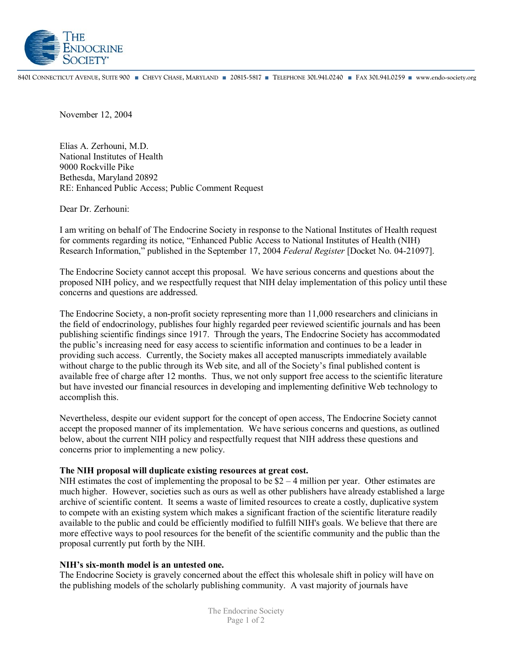

8401 CONNECTICUT AVENUE, SUITE 900 CHEVY CHASE, MARYLAND 20815-5817 TELEPHONE 301.941.0240 FAX 301.941.0259 www.endo-society.org

November 12, 2004

Elias A. Zerhouni, M.D. National Institutes of Health 9000 Rockville Pike Bethesda, Maryland 20892 RE: Enhanced Public Access; Public Comment Request

Dear Dr. Zerhouni:

I am writing on behalf of The Endocrine Society in response to the National Institutes of Health request for comments regarding its notice, "Enhanced Public Access to National Institutes of Health (NIH) Research Information,<sup>n</sup> published in the September 17, 2004 *Federal Register* [Docket No. 04-21097].

The Endocrine Society cannot accept this proposal. We have serious concerns and questions about the proposed NIH policy, and we respectfully request that NIH delay implementation of this policy until these concerns and questions are addressed.

The Endocrine Society, a non-profit society representing more than 11,000 researchers and clinicians in the field of endocrinology, publishes four highly regarded peer reviewed scientific journals and has been publishing scientific findings since 1917. Through the years, The Endocrine Society has accommodated the public's increasing need for easy access to scientific information and continues to be a leader in providing such access. Currently, the Society makes all accepted manuscripts immediately available without charge to the public through its Web site, and all of the Society's final published content is available free of charge after 12 months. Thus, we not only support free access to the scientific literature but have invested our financial resources in developing and implementing definitive Web technology to accomplish this.

Nevertheless, despite our evident support for the concept of open access, The Endocrine Society cannot accept the proposed manner of its implementation. We have serious concerns and questions, as outlined below, about the current NIH policy and respectfully request that NIH address these questions and concerns prior to implementing a new policy.

## **The NIH proposal will duplicate existing resources at great cost.**

NIH estimates the cost of implementing the proposal to be  $$2 - 4$  million per year. Other estimates are much higher. However, societies such as ours as well as other publishers have already established a large archive of scientific content. It seems a waste of limited resources to create a costly, duplicative system to compete with an existing system which makes a significant fraction of the scientific literature readily available to the public and could be efficiently modified to fulfill NIH's goals. We believe that there are more effective ways to pool resources for the benefit of the scientific community and the public than the proposal currently put forth by the NIH.

## **NIHís six-month model is an untested one.**

The Endocrine Society is gravely concerned about the effect this wholesale shift in policy will have on the publishing models of the scholarly publishing community. A vast majority of journals have